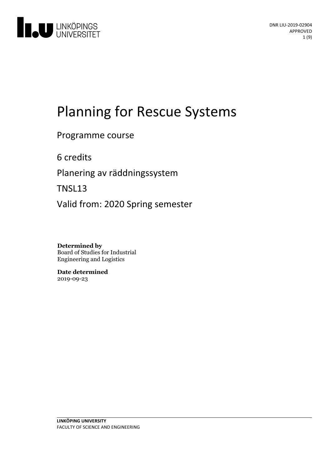

# Planning for Rescue Systems

# Programme course

6 credits

Planeringav räddningssystem

TNSL13

Valid from: 2020 Spring semester

**Determined by** Board of Studies for Industrial Engineering and Logistics

**Date determined** 2019-09-23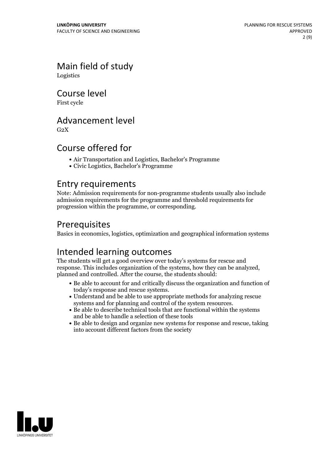Main field of study Logistics

Course level

First cycle

# Advancement level

 $G<sub>2</sub>X$ 

# Course offered for

- Air Transportation and Logistics, Bachelor's Programme
- Civic Logistics, Bachelor's Programme

### Entry requirements

Note: Admission requirements for non-programme students usually also include admission requirements for the programme and threshold requirements for progression within the programme, or corresponding.

# Prerequisites

Basics in economics, logistics, optimization and geographical information systems

# Intended learning outcomes

The students will get a good overview over today's systems for rescue and response. This includes organization of the systems, how they can be analyzed, planned and controlled. After the course, the students should:

- $\bullet$  Be able to account for and critically discuss the organization and function of today's response and rescue systems.
- Understand and be able to use appropriate methods for analyzing rescue systems and for planning and control of the system resources.
- $\bullet$  Be able to describe technical tools that are functional within the systems and be able to handle a selection of these tools
- Be able to design and organize new systems for response and rescue, taking into account different factors from the society

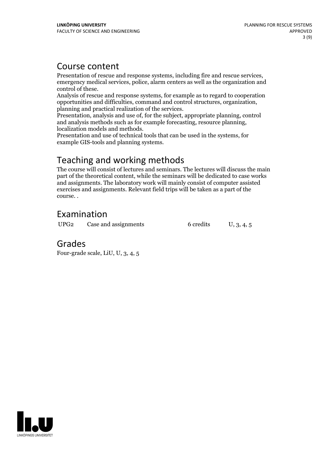## Course content

Presentation of rescue and response systems, including fire and rescue services, emergency medical services, police, alarm centers as well as the organization and

control of these. Analysis of rescue and response systems, for example as to regard to cooperation planning and practical realization of the services.<br>Presentation, analysis and use of, for the subject, appropriate planning, control

and analysis methods such as for example forecasting, resource planning, localization models and methods. Presentation and use oftechnical tools that can be used in the systems, for

example GIS-tools and planning systems.

# Teaching and working methods

The course will consist of lectures and seminars. The lectures will discuss the main part of the theoretical content, while the seminars will be dedicated to case works and assignments. The laboratory work will mainly consist of computer assisted exercises and assignments. Relevant field trips will be taken asa part of the course. .

# Examination

UPG2 Case and assignments 6 credits U, 3, 4, 5

# Grades

Four-grade scale, LiU, U, 3, 4, 5

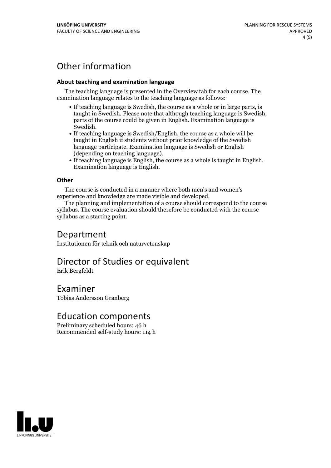# Other information

#### **About teaching and examination language**

The teaching language is presented in the Overview tab for each course. The examination language relates to the teaching language as follows:

- If teaching language is Swedish, the course as a whole or in large parts, is taught in Swedish. Please note that although teaching language is Swedish, parts of the course could be given in English. Examination language is
- Swedish.<br>• If teaching language is Swedish/English, the course as a whole will be taught in English if students without prior knowledge of the Swedish language participate. Examination language is Swedish or English
- $\bullet$  If teaching language is English, the course as a whole is taught in English. Examination language is English.

### **Other**

The course is conducted in a manner where both men's and women's

experience and knowledge are made visible and developed. The planning and implementation of <sup>a</sup> course should correspond to the course syllabus. The course evaluation should therefore be conducted with the course syllabus as a starting point.

### Department

Institutionen för teknik och naturvetenskap

# Director of Studies or equivalent

Erik Bergfeldt

Examiner Tobias Andersson Granberg

### Education components

Preliminary scheduled hours: 46 h Recommended self-study hours: 114 h

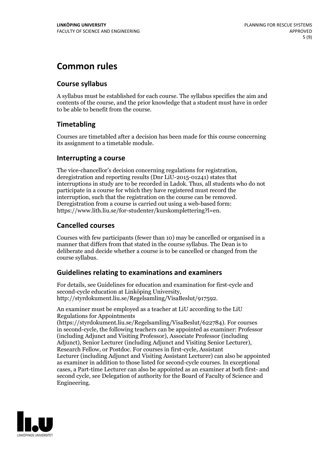# **Common rules**

### **Course syllabus**

A syllabus must be established for each course. The syllabus specifies the aim and contents of the course, and the prior knowledge that a student must have in order to be able to benefit from the course.

### **Timetabling**

Courses are timetabled after a decision has been made for this course concerning its assignment to a timetable module.

### **Interrupting a course**

The vice-chancellor's decision concerning regulations for registration, deregistration and reporting results (Dnr LiU-2015-01241) states that interruptions in study are to be recorded in Ladok. Thus, all students who do not participate in a course for which they have registered must record the interruption, such that the registration on the course can be removed. Deregistration from <sup>a</sup> course is carried outusing <sup>a</sup> web-based form: https://www.lith.liu.se/for-studenter/kurskomplettering?l=en.

### **Cancelled courses**

Courses with few participants (fewer than 10) may be cancelled or organised in a manner that differs from that stated in the course syllabus. The Dean is to deliberate and decide whether a course is to be cancelled or changed from the course syllabus.

### **Guidelines relatingto examinations and examiners**

For details, see Guidelines for education and examination for first-cycle and second-cycle education at Linköping University, http://styrdokument.liu.se/Regelsamling/VisaBeslut/917592.

An examiner must be employed as a teacher at LiU according to the LiU Regulations for Appointments

(https://styrdokument.liu.se/Regelsamling/VisaBeslut/622784). For courses in second-cycle, the following teachers can be appointed as examiner: Professor (including Adjunct and Visiting Professor), Associate Professor (including Adjunct), Senior Lecturer (including Adjunct and Visiting Senior Lecturer), Research Fellow, or Postdoc. For courses in first-cycle, Assistant Lecturer (including Adjunct and Visiting Assistant Lecturer) can also be appointed as examiner in addition to those listed for second-cycle courses. In exceptional cases, a Part-time Lecturer can also be appointed as an examiner at both first- and second cycle, see Delegation of authority for the Board of Faculty of Science and Engineering.

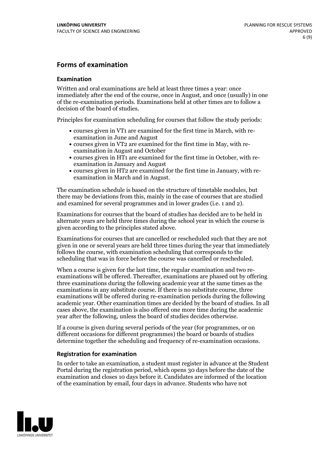### **Forms of examination**

#### **Examination**

Written and oral examinations are held at least three times a year: once immediately after the end of the course, once in August, and once (usually) in one of the re-examination periods. Examinations held at other times are to follow a decision of the board of studies.

Principles for examination scheduling for courses that follow the study periods:

- courses given in VT1 are examined for the first time in March, with re-examination in June and August
- courses given in VT2 are examined for the first time in May, with re-examination in August and October
- courses given in HT1 are examined for the first time in October, with re-examination in January and August
- courses given in HT2 are examined for the first time in January, with re-examination in March and in August.

The examination schedule is based on the structure of timetable modules, but there may be deviations from this, mainly in the case of courses that are studied and examined for several programmes and in lower grades (i.e. 1 and 2).

Examinations for courses that the board of studies has decided are to be held in alternate years are held three times during the school year in which the course is given according to the principles stated above.

Examinations for courses that are cancelled orrescheduled such that they are not given in one or several years are held three times during the year that immediately follows the course, with examination scheduling that corresponds to the scheduling that was in force before the course was cancelled or rescheduled.

When a course is given for the last time, the regular examination and two re-<br>examinations will be offered. Thereafter, examinations are phased out by offering three examinations during the following academic year at the same times as the examinations in any substitute course. If there is no substitute course, three examinations will be offered during re-examination periods during the following academic year. Other examination times are decided by the board of studies. In all cases above, the examination is also offered one more time during the academic year after the following, unless the board of studies decides otherwise.

If a course is given during several periods of the year (for programmes, or on different occasions for different programmes) the board or boards of studies determine together the scheduling and frequency of re-examination occasions.

#### **Registration for examination**

In order to take an examination, a student must register in advance at the Student Portal during the registration period, which opens 30 days before the date of the examination and closes 10 days before it. Candidates are informed of the location of the examination by email, four days in advance. Students who have not

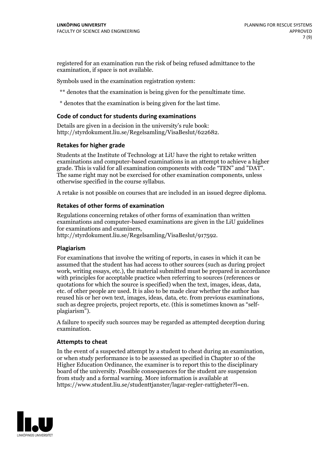registered for an examination run the risk of being refused admittance to the examination, if space is not available.

Symbols used in the examination registration system:

\*\* denotes that the examination is being given for the penultimate time.

\* denotes that the examination is being given for the last time.

#### **Code of conduct for students during examinations**

Details are given in a decision in the university's rule book: http://styrdokument.liu.se/Regelsamling/VisaBeslut/622682.

#### **Retakes for higher grade**

Students at the Institute of Technology at LiU have the right to retake written examinations and computer-based examinations in an attempt to achieve a higher grade. This is valid for all examination components with code "TEN" and "DAT". The same right may not be exercised for other examination components, unless otherwise specified in the course syllabus.

A retake is not possible on courses that are included in an issued degree diploma.

#### **Retakes of other forms of examination**

Regulations concerning retakes of other forms of examination than written examinations and computer-based examinations are given in the LiU guidelines

http://styrdokument.liu.se/Regelsamling/VisaBeslut/917592.

#### **Plagiarism**

For examinations that involve the writing of reports, in cases in which it can be assumed that the student has had access to other sources (such as during project work, writing essays, etc.), the material submitted must be prepared in accordance with principles for acceptable practice when referring to sources (references or quotations for which the source is specified) when the text, images, ideas, data,  $\vec{e}$  etc. of other people are used. It is also to be made clear whether the author has reused his or her own text, images, ideas, data, etc. from previous examinations, such as degree projects, project reports, etc. (this is sometimes known as "self- plagiarism").

A failure to specify such sources may be regarded as attempted deception during examination.

#### **Attempts to cheat**

In the event of <sup>a</sup> suspected attempt by <sup>a</sup> student to cheat during an examination, or when study performance is to be assessed as specified in Chapter <sup>10</sup> of the Higher Education Ordinance, the examiner is to report this to the disciplinary board of the university. Possible consequences for the student are suspension from study and a formal warning. More information is available at https://www.student.liu.se/studenttjanster/lagar-regler-rattigheter?l=en.

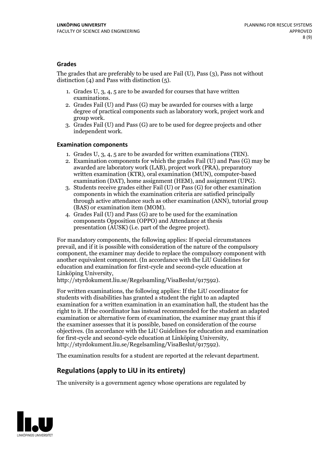### **Grades**

The grades that are preferably to be used are Fail (U), Pass (3), Pass not without distinction  $(4)$  and Pass with distinction  $(5)$ .

- 1. Grades U, 3, 4, 5 are to be awarded for courses that have written
- examinations. 2. Grades Fail (U) and Pass (G) may be awarded for courses with <sup>a</sup> large degree of practical components such as laboratory work, project work and group work. 3. Grades Fail (U) and Pass (G) are to be used for degree projects and other
- independent work.

#### **Examination components**

- 
- 1. Grades U, 3, 4, <sup>5</sup> are to be awarded for written examinations (TEN). 2. Examination components for which the grades Fail (U) and Pass (G) may be awarded are laboratory work (LAB), project work (PRA), preparatory written examination (KTR), oral examination (MUN), computer-based
- examination (DAT), home assignment (HEM), and assignment (UPG). 3. Students receive grades either Fail (U) or Pass (G) for other examination components in which the examination criteria are satisfied principally through active attendance such as other examination (ANN), tutorial group
- (BAS) or examination item (MOM). 4. Grades Fail (U) and Pass (G) are to be used for the examination components Opposition (OPPO) and Attendance at thesis presentation (AUSK) (i.e. part of the degree project).

For mandatory components, the following applies: If special circumstances prevail, and if it is possible with consideration of the nature of the compulsory component, the examiner may decide to replace the compulsory component with another equivalent component. (In accordance with the LiU Guidelines for education and examination for first-cycle and second-cycle education at Linköping University, http://styrdokument.liu.se/Regelsamling/VisaBeslut/917592).

For written examinations, the following applies: If the LiU coordinator for students with disabilities has granted a student the right to an adapted examination for a written examination in an examination hall, the student has the right to it. If the coordinator has instead recommended for the student an adapted examination or alternative form of examination, the examiner may grant this if the examiner assesses that it is possible, based on consideration of the course objectives. (In accordance with the LiU Guidelines for education and examination for first-cycle and second-cycle education at Linköping University, http://styrdokument.liu.se/Regelsamling/VisaBeslut/917592).

The examination results for a student are reported at the relevant department.

### **Regulations (applyto LiU in its entirety)**

The university is a government agency whose operations are regulated by